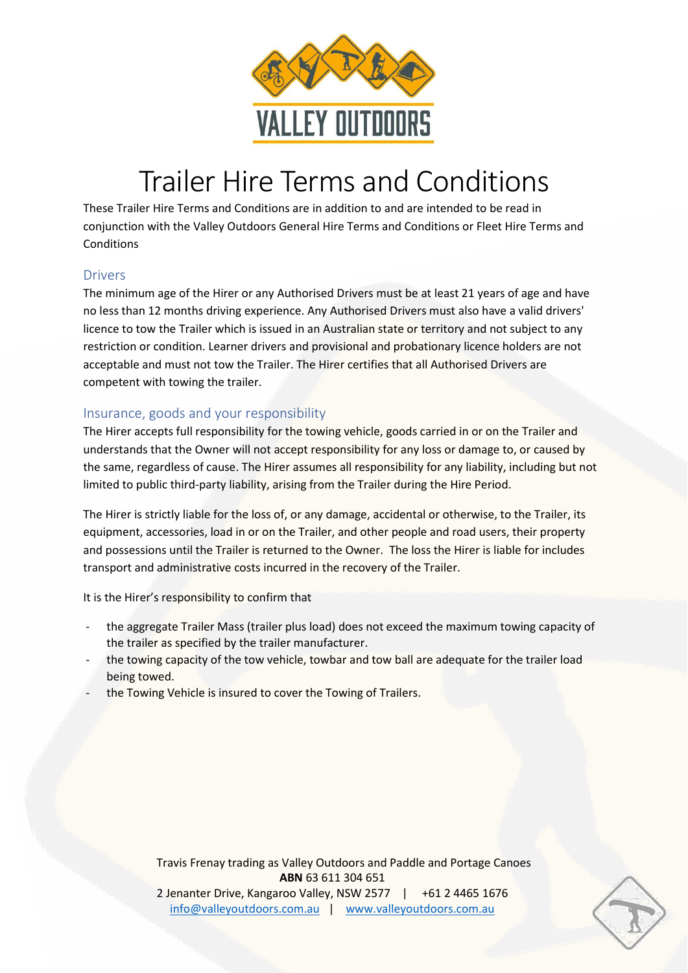

# Trailer Hire Terms and Conditions

These Trailer Hire Terms and Conditions are in addition to and are intended to be read in conjunction with the Valley Outdoors General Hire Terms and Conditions or Fleet Hire Terms and Conditions

### **Drivers**

The minimum age of the Hirer or any Authorised Drivers must be at least 21 years of age and have no less than 12 months driving experience. Any Authorised Drivers must also have a valid drivers' licence to tow the Trailer which is issued in an Australian state or territory and not subject to any restriction or condition. Learner drivers and provisional and probationary licence holders are not acceptable and must not tow the Trailer. The Hirer certifies that all Authorised Drivers are competent with towing the trailer.

### Insurance, goods and your responsibility

The Hirer accepts full responsibility for the towing vehicle, goods carried in or on the Trailer and understands that the Owner will not accept responsibility for any loss or damage to, or caused by the same, regardless of cause. The Hirer assumes all responsibility for any liability, including but not limited to public third-party liability, arising from the Trailer during the Hire Period.

The Hirer is strictly liable for the loss of, or any damage, accidental or otherwise, to the Trailer, its equipment, accessories, load in or on the Trailer, and other people and road users, their property and possessions until the Trailer is returned to the Owner. The loss the Hirer is liable for includes transport and administrative costs incurred in the recovery of the Trailer.

It is the Hirer's responsibility to confirm that

- the aggregate Trailer Mass (trailer plus load) does not exceed the maximum towing capacity of the trailer as specified by the trailer manufacturer.
- the towing capacity of the tow vehicle, towbar and tow ball are adequate for the trailer load being towed.
- the Towing Vehicle is insured to cover the Towing of Trailers.

Travis Frenay trading as Valley Outdoors and Paddle and Portage Canoes **ABN** 63 611 304 651 2 Jenanter Drive, Kangaroo Valley, NSW 2577 | +61 2 4465 1676 [info@valleyoutdoors.com.au](mailto:info@valleyoutdoors.com.au) | [www.valleyoutdoors.com.au](http://www.valleyoutdoors.com.au/)